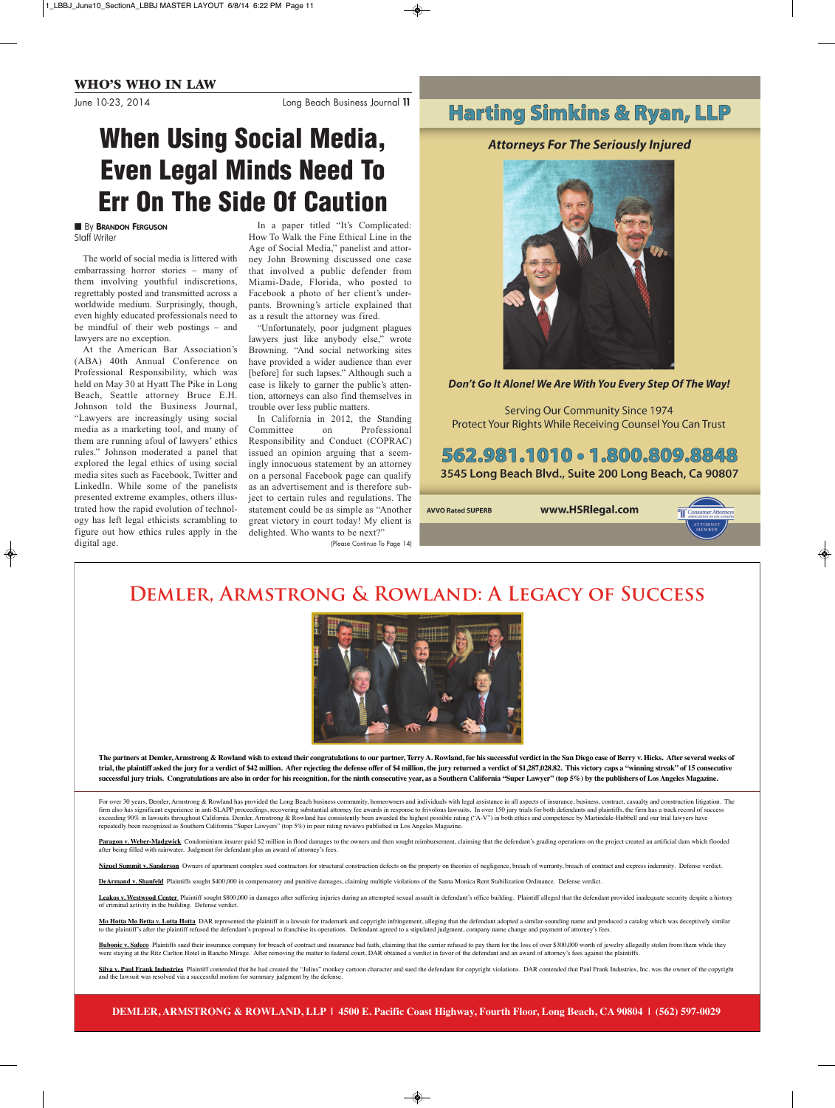June 10-23, 2014 Long Beach Business Journal **11**

# **When Using Social Media, Even Legal Minds Need To Err On The Side Of Caution**

### **■** By **BRANDON FERGUSON** Staff Writer

The world of social media is littered with embarrassing horror stories – many of them involving youthful indiscretions, regrettably posted and transmitted across a worldwide medium. Surprisingly, though, even highly educated professionals need to be mindful of their web postings – and lawyers are no exception.

At the American Bar Association's (ABA) 40th Annual Conference on Professional Responsibility, which was held on May 30 at Hyatt The Pike in Long Beach, Seattle attorney Bruce E.H. Johnson told the Business Journal, "Lawyers are increasingly using social media as a marketing tool, and many of them are running afoul of lawyers' ethics rules." Johnson moderated a panel that explored the legal ethics of using social media sites such as Facebook, Twitter and LinkedIn. While some of the panelists presented extreme examples, others illustrated how the rapid evolution of technology has left legal ethicists scrambling to figure out how ethics rules apply in the digital age.

In a paper titled "It's Complicated: How To Walk the Fine Ethical Line in the Age of Social Media," panelist and attorney John Browning discussed one case that involved a public defender from Miami-Dade, Florida, who posted to Facebook a photo of her client's underpants. Browning's article explained that as a result the attorney was fired.

"Unfortunately, poor judgment plagues lawyers just like anybody else," wrote Browning. "And social networking sites have provided a wider audience than ever [before] for such lapses." Although such a case is likely to garner the public's attention, attorneys can also find themselves in trouble over less public matters.

In California in 2012, the Standing<br>Committee on Professional on Professional Responsibility and Conduct (COPRAC) issued an opinion arguing that a seemingly innocuous statement by an attorney on a personal Facebook page can qualify as an advertisement and is therefore subject to certain rules and regulations. The statement could be as simple as "Another great victory in court today! My client is delighted. Who wants to be next?"

(Please Continue To Page 14)

# **Harting Simkins & Ryan, LLP**

## **Attorneys For The Seriously Injured**



Don't Go It Alone! We Are With You Every Step Of The Way!

**Serving Our Community Since 1974** Protect Your Rights While Receiving Counsel You Can Trust

# 562.981.1010 - 1.800.809.8848

3545 Long Beach Blvd., Suite 200 Long Beach, Ca 90807

**AVVO Rated SUPERB** 

www.HSRlegal.com



# **Demler, Armstrong & Rowland: A Legacy of Success**



**The partners at Demler, Armstrong & Rowland wish to extend their congratulations to our partner, Terry A. Rowland, for his successful verdict in the San Diego case of Berry v. Hicks. After several weeks of trial, the plaintiff asked the jury for a verdict of \$42 million. After rejecting the defense offer of \$4 million, the jury returned a verdict of \$1,287,028.82. This victory caps a "winning streak" of 15 consecutive successful jury trials. Congratulations are also in order for his recognition, for the ninth consecutive year, as a Southern California "Super Lawyer" (top 5%) by the publishers of Los Angeles Magazine.**

For over 30 years, Demler, Armstrong & Rowland has provided the Long Beach business community, homeowners and individuals with legal assistance in all aspects of insurance, business, contract, casualty and construction lit firm also has significant experience in anti-SLAPP proceedings, recovering substantial attorney fee awards in response to frivolous lawsuits. In over 150 jury trials for both defendants and plaintiffs, the firm has a track exceeding 90% in lawsuits throughout California. Demler, Armstrong & Rowland has consistently been awarded the highest possible rating ("A-V") in both ethics and competence by Martindale-Hubbell and our trial lawyers have repeatedly been recognized as Southern California "Super Lawyers" (top 5%) in peer rating reviews published in Los Angeles Magazine.

Paragon v. Weber-Madgwick Condominium insurer paid \$2 million in flood damages to the owners and then sought reimbursement, claiming that the defendant's grading operations on the project created an artificial dam which fl after being filled with rainwater. Judgment for defendant plus an award of attorney's fees.

Niguel Summit v. Sanderson Owners of apartment complex sued contractors for structural construction defects on the property on theories of negligence, breach of warranty, breach of contract and express indemnity. Defense v

**DeArmand v. Shanfeld** Plaintiffs sought \$400,000 in compensatory and punitive damages, claiming multiple violations of the Santa Monica Rent Stabilization Ordinance. Defense verdict.

Leakos v. Westwood Center\_Plaintiff sought \$800,000 in damages after suffering injuries during an attempted sexual assault in defendant's office building. Plaintiff alleged that the defendant provided inadequate security d of criminal activity in the building. Defense verdict.

Mo Hotta Mo Betta v. Lotta Hotta DAR represented the plaintiff in a lawsuit for trademark and copyright infringement, alleging that the defendant adopted a similar-sounding name and produced a catalog which was deceptively to the plaintiff's after the plaintiff refused the defendant's proposal to franchise its operations. Defendant agreed to a stipulated judgment, company name change and payment of attorney's fees.

Bubonic v. Safeco Plaintiffs sued their insurance company for breach of contract and insurance bad faith, claiming that the carrier refused to pay them for the loss of over \$300,000 worth of jewelry allegedly stolen from t were staying at the Ritz Carlton Hotel in Rancho Mirage. After removing the matter to federal court, DAR obtained a verdict in favor of the defendant and an award of attorney's fees against the plaintiffs.

Silva v. Paul Frank Industries Plaintiff contended that he had created the "Julius" monkey cartoon character and sued the defendant for copyright violations. DAR contended that Paul Frank Industries, Inc. was the owner of and the lawsuit was resolved via a successful motion for summary judgment by the defense.

**DEMLER, ARMSTRONG & ROWLAND, LLP | 4500 E. Pacific Coast Highway, Fourth Floor, Long Beach, CA 90804 | (562) 597-0029**